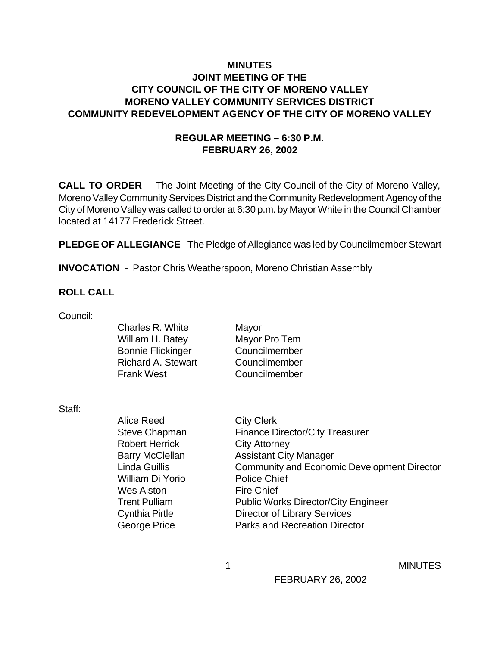## **MINUTES JOINT MEETING OF THE CITY COUNCIL OF THE CITY OF MORENO VALLEY MORENO VALLEY COMMUNITY SERVICES DISTRICT COMMUNITY REDEVELOPMENT AGENCY OF THE CITY OF MORENO VALLEY**

#### **REGULAR MEETING – 6:30 P.M. FEBRUARY 26, 2002**

**CALL TO ORDER** - The Joint Meeting of the City Council of the City of Moreno Valley, Moreno Valley Community Services District and the Community Redevelopment Agency of the City of Moreno Valley was called to order at 6:30 p.m. by Mayor White in the Council Chamber located at 14177 Frederick Street.

**PLEDGE OF ALLEGIANCE** - The Pledge of Allegiance was led by Councilmember Stewart

**INVOCATION** - Pastor Chris Weatherspoon, Moreno Christian Assembly

#### **ROLL CALL**

Council:

Charles R. White Mayor William H. Batey Mayor Pro Tem Bonnie Flickinger Councilmember Richard A. Stewart Councilmember Frank West Councilmember

Staff:

Alice Reed City Clerk Steve Chapman Finance Director/City Treasurer Robert Herrick City Attorney Barry McClellan Assistant City Manager Linda Guillis Community and Economic Development Director William Di Yorio Police Chief Wes Alston Fire Chief Trent Pulliam Public Works Director/City Engineer Cynthia Pirtle **Director of Library Services** George Price **Parks and Recreation Director** 

1 MINUTES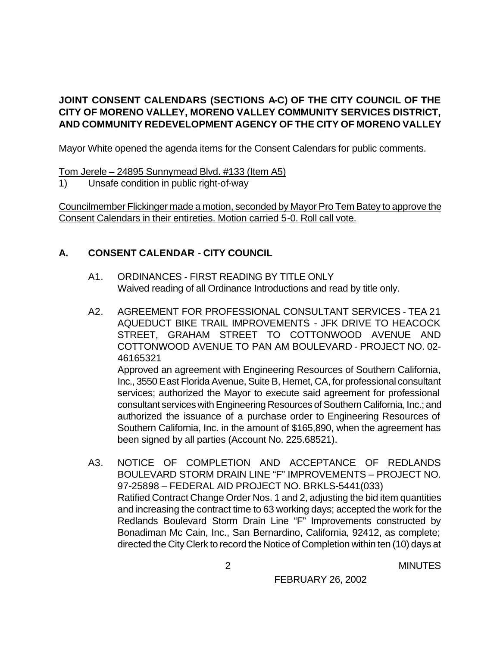## **JOINT CONSENT CALENDARS (SECTIONS A-C) OF THE CITY COUNCIL OF THE CITY OF MORENO VALLEY, MORENO VALLEY COMMUNITY SERVICES DISTRICT, AND COMMUNITY REDEVELOPMENT AGENCY OF THE CITY OF MORENO VALLEY**

Mayor White opened the agenda items for the Consent Calendars for public comments.

Tom Jerele – 24895 Sunnymead Blvd. #133 (Item A5)

1) Unsafe condition in public right-of-way

Councilmember Flickinger made a motion, seconded by Mayor Pro Tem Batey to approve the Consent Calendars in their entireties. Motion carried 5-0. Roll call vote.

## **A. CONSENT CALENDAR** - **CITY COUNCIL**

- A1. ORDINANCES FIRST READING BY TITLE ONLY Waived reading of all Ordinance Introductions and read by title only.
- A2. AGREEMENT FOR PROFESSIONAL CONSULTANT SERVICES TEA 21 AQUEDUCT BIKE TRAIL IMPROVEMENTS - JFK DRIVE TO HEACOCK STREET, GRAHAM STREET TO COTTONWOOD AVENUE AND COTTONWOOD AVENUE TO PAN AM BOULEVARD - PROJECT NO. 02- 46165321 Approved an agreement with Engineering Resources of Southern California,

Inc., 3550 East Florida Avenue, Suite B, Hemet, CA, for professional consultant services; authorized the Mayor to execute said agreement for professional consultant services with Engineering Resources of Southern California, Inc.; and authorized the issuance of a purchase order to Engineering Resources of Southern California, Inc. in the amount of \$165,890, when the agreement has been signed by all parties (Account No. 225.68521).

A3. NOTICE OF COMPLETION AND ACCEPTANCE OF REDLANDS BOULEVARD STORM DRAIN LINE "F" IMPROVEMENTS – PROJECT NO. 97-25898 – FEDERAL AID PROJECT NO. BRKLS-5441(033) Ratified Contract Change Order Nos. 1 and 2, adjusting the bid item quantities and increasing the contract time to 63 working days; accepted the work for the Redlands Boulevard Storm Drain Line "F" Improvements constructed by Bonadiman Mc Cain, Inc., San Bernardino, California, 92412, as complete; directed the City Clerk to record the Notice of Completion within ten (10) days at

2 MINUTES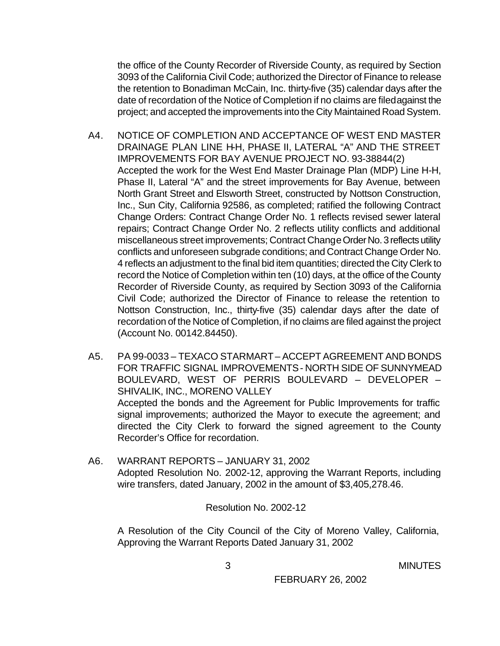the office of the County Recorder of Riverside County, as required by Section 3093 of the California Civil Code; authorized the Director of Finance to release the retention to Bonadiman McCain, Inc. thirty-five (35) calendar days after the date of recordation of the Notice of Completion if no claims are filed against the project; and accepted the improvements into the City Maintained Road System.

- A4. NOTICE OF COMPLETION AND ACCEPTANCE OF WEST END MASTER DRAINAGE PLAN LINE H-H, PHASE II, LATERAL "A" AND THE STREET IMPROVEMENTS FOR BAY AVENUE PROJECT NO. 93-38844(2) Accepted the work for the West End Master Drainage Plan (MDP) Line H-H, Phase II, Lateral "A" and the street improvements for Bay Avenue, between North Grant Street and Elsworth Street, constructed by Nottson Construction, Inc., Sun City, California 92586, as completed; ratified the following Contract Change Orders: Contract Change Order No. 1 reflects revised sewer lateral repairs; Contract Change Order No. 2 reflects utility conflicts and additional miscellaneous street improvements; Contract Change Order No. 3 reflects utility conflicts and unforeseen subgrade conditions; and Contract Change Order No. 4 reflects an adjustment to the final bid item quantities; directed the City Clerk to record the Notice of Completion within ten (10) days, at the office of the County Recorder of Riverside County, as required by Section 3093 of the California Civil Code; authorized the Director of Finance to release the retention to Nottson Construction, Inc., thirty-five (35) calendar days after the date of recordation of the Notice of Completion, if no claims are filed against the project (Account No. 00142.84450).
- A5. PA 99-0033 TEXACO STARMART ACCEPT AGREEMENT AND BONDS FOR TRAFFIC SIGNAL IMPROVEMENTS - NORTH SIDE OF SUNNYMEAD BOULEVARD, WEST OF PERRIS BOULEVARD – DEVELOPER – SHIVALIK, INC., MORENO VALLEY Accepted the bonds and the Agreement for Public Improvements for traffic signal improvements; authorized the Mayor to execute the agreement; and directed the City Clerk to forward the signed agreement to the County Recorder's Office for recordation.
- A6. WARRANT REPORTS JANUARY 31, 2002 Adopted Resolution No. 2002-12, approving the Warrant Reports, including wire transfers, dated January, 2002 in the amount of \$3,405,278.46.

Resolution No. 2002-12

A Resolution of the City Council of the City of Moreno Valley, California, Approving the Warrant Reports Dated January 31, 2002

3 MINUTES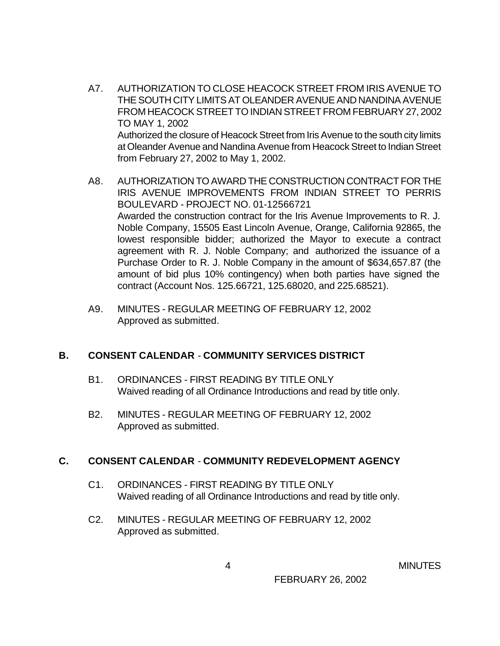- A7. AUTHORIZATION TO CLOSE HEACOCK STREET FROM IRIS AVENUE TO THE SOUTH CITY LIMITS AT OLEANDER AVENUE AND NANDINA AVENUE FROM HEACOCK STREET TO INDIAN STREET FROM FEBRUARY 27, 2002 TO MAY 1, 2002 Authorized the closure of Heacock Street from Iris Avenue to the south city limits at Oleander Avenue and Nandina Avenue from Heacock Street to Indian Street from February 27, 2002 to May 1, 2002.
- A8. AUTHORIZATION TO AWARD THE CONSTRUCTION CONTRACT FOR THE IRIS AVENUE IMPROVEMENTS FROM INDIAN STREET TO PERRIS BOULEVARD - PROJECT NO. 01-12566721 Awarded the construction contract for the Iris Avenue Improvements to R. J. Noble Company, 15505 East Lincoln Avenue, Orange, California 92865, the lowest responsible bidder; authorized the Mayor to execute a contract agreement with R. J. Noble Company; and authorized the issuance of a Purchase Order to R. J. Noble Company in the amount of \$634,657.87 (the amount of bid plus 10% contingency) when both parties have signed the contract (Account Nos. 125.66721, 125.68020, and 225.68521).
- A9. MINUTES REGULAR MEETING OF FEBRUARY 12, 2002 Approved as submitted.

## **B. CONSENT CALENDAR** - **COMMUNITY SERVICES DISTRICT**

- B1. ORDINANCES FIRST READING BY TITLE ONLY Waived reading of all Ordinance Introductions and read by title only.
- B2. MINUTES REGULAR MEETING OF FEBRUARY 12, 2002 Approved as submitted.

#### **C. CONSENT CALENDAR** - **COMMUNITY REDEVELOPMENT AGENCY**

- C1. ORDINANCES FIRST READING BY TITLE ONLY Waived reading of all Ordinance Introductions and read by title only.
- C2. MINUTES REGULAR MEETING OF FEBRUARY 12, 2002 Approved as submitted.

4 MINUTES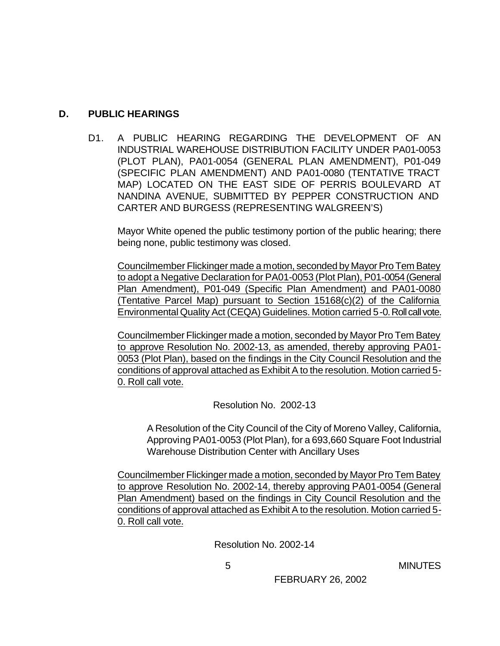#### **D. PUBLIC HEARINGS**

D1. A PUBLIC HEARING REGARDING THE DEVELOPMENT OF AN INDUSTRIAL WAREHOUSE DISTRIBUTION FACILITY UNDER PA01-0053 (PLOT PLAN), PA01-0054 (GENERAL PLAN AMENDMENT), P01-049 (SPECIFIC PLAN AMENDMENT) AND PA01-0080 (TENTATIVE TRACT MAP) LOCATED ON THE EAST SIDE OF PERRIS BOULEVARD AT NANDINA AVENUE, SUBMITTED BY PEPPER CONSTRUCTION AND CARTER AND BURGESS (REPRESENTING WALGREEN'S)

Mayor White opened the public testimony portion of the public hearing; there being none, public testimony was closed.

Councilmember Flickinger made a motion, seconded by Mayor Pro Tem Batey to adopt a Negative Declaration for PA01-0053 (Plot Plan), P01-0054 (General Plan Amendment), P01-049 (Specific Plan Amendment) and PA01-0080 (Tentative Parcel Map) pursuant to Section 15168(c)(2) of the California Environmental Quality Act (CEQA) Guidelines. Motion carried 5-0. Roll call vote.

Councilmember Flickinger made a motion, seconded by Mayor Pro Tem Batey to approve Resolution No. 2002-13, as amended, thereby approving PA01- 0053 (Plot Plan), based on the findings in the City Council Resolution and the conditions of approval attached as Exhibit A to the resolution. Motion carried 5- 0. Roll call vote.

Resolution No. 2002-13

A Resolution of the City Council of the City of Moreno Valley, California, Approving PA01-0053 (Plot Plan), for a 693,660 Square Foot Industrial Warehouse Distribution Center with Ancillary Uses

Councilmember Flickinger made a motion, seconded by Mayor Pro Tem Batey to approve Resolution No. 2002-14, thereby approving PA01-0054 (General Plan Amendment) based on the findings in City Council Resolution and the conditions of approval attached as Exhibit A to the resolution. Motion carried 5- 0. Roll call vote.

Resolution No. 2002-14

5 MINUTES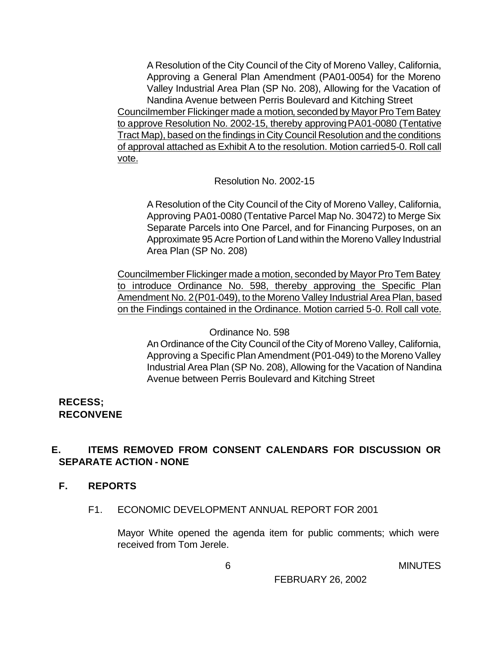A Resolution of the City Council of the City of Moreno Valley, California, Approving a General Plan Amendment (PA01-0054) for the Moreno Valley Industrial Area Plan (SP No. 208), Allowing for the Vacation of Nandina Avenue between Perris Boulevard and Kitching Street Councilmember Flickinger made a motion, seconded by Mayor Pro Tem Batey to approve Resolution No. 2002-15, thereby approving PA01-0080 (Tentative Tract Map), based on the findings in City Council Resolution and the conditions of approval attached as Exhibit A to the resolution. Motion carried 5-0. Roll call vote.

Resolution No. 2002-15

A Resolution of the City Council of the City of Moreno Valley, California, Approving PA01-0080 (Tentative Parcel Map No. 30472) to Merge Six Separate Parcels into One Parcel, and for Financing Purposes, on an Approximate 95 Acre Portion of Land within the Moreno Valley Industrial Area Plan (SP No. 208)

Councilmember Flickinger made a motion, seconded by Mayor Pro Tem Batey to introduce Ordinance No. 598, thereby approving the Specific Plan Amendment No. 2 (P01-049), to the Moreno Valley Industrial Area Plan, based on the Findings contained in the Ordinance. Motion carried 5-0. Roll call vote.

Ordinance No. 598

An Ordinance of the City Council of the City of Moreno Valley, California, Approving a Specific Plan Amendment (P01-049) to the Moreno Valley Industrial Area Plan (SP No. 208), Allowing for the Vacation of Nandina Avenue between Perris Boulevard and Kitching Street

## **RECESS; RECONVENE**

## **E. ITEMS REMOVED FROM CONSENT CALENDARS FOR DISCUSSION OR SEPARATE ACTION - NONE**

## **F. REPORTS**

F1. ECONOMIC DEVELOPMENT ANNUAL REPORT FOR 2001

Mayor White opened the agenda item for public comments; which were received from Tom Jerele.

**6** MINUTES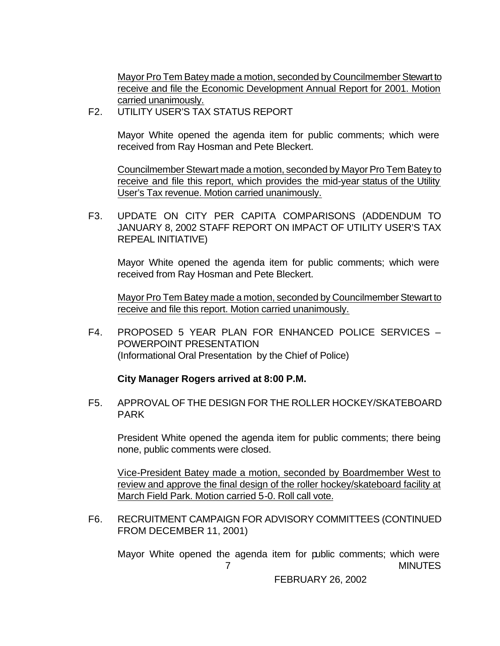Mayor Pro Tem Batey made a motion, seconded by Councilmember Stewart to receive and file the Economic Development Annual Report for 2001. Motion carried unanimously.

F2. UTILITY USER'S TAX STATUS REPORT

Mayor White opened the agenda item for public comments; which were received from Ray Hosman and Pete Bleckert.

Councilmember Stewart made a motion, seconded by Mayor Pro Tem Batey to receive and file this report, which provides the mid-year status of the Utility User's Tax revenue. Motion carried unanimously.

F3. UPDATE ON CITY PER CAPITA COMPARISONS (ADDENDUM TO JANUARY 8, 2002 STAFF REPORT ON IMPACT OF UTILITY USER'S TAX REPEAL INITIATIVE)

Mayor White opened the agenda item for public comments; which were received from Ray Hosman and Pete Bleckert.

Mayor Pro Tem Batey made a motion, seconded by Councilmember Stewart to receive and file this report. Motion carried unanimously.

F4. PROPOSED 5 YEAR PLAN FOR ENHANCED POLICE SERVICES – POWERPOINT PRESENTATION (Informational Oral Presentation by the Chief of Police)

#### **City Manager Rogers arrived at 8:00 P.M.**

F5. APPROVAL OF THE DESIGN FOR THE ROLLER HOCKEY/SKATEBOARD PARK

President White opened the agenda item for public comments; there being none, public comments were closed.

Vice-President Batey made a motion, seconded by Boardmember West to review and approve the final design of the roller hockey/skateboard facility at March Field Park. Motion carried 5-0. Roll call vote.

F6. RECRUITMENT CAMPAIGN FOR ADVISORY COMMITTEES (CONTINUED FROM DECEMBER 11, 2001)

 7 MINUTES Mayor White opened the agenda item for public comments; which were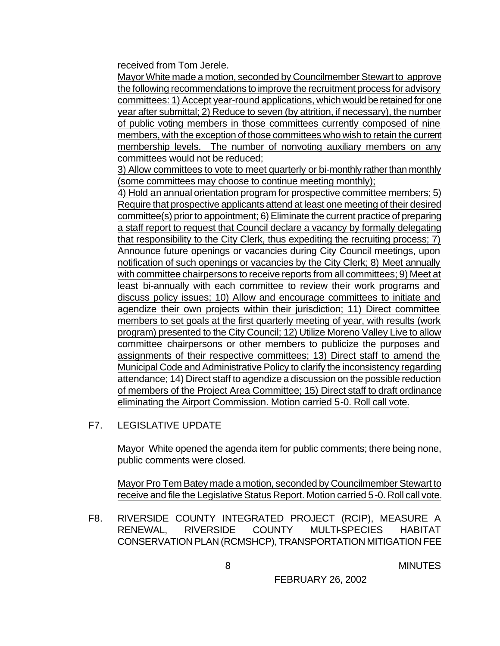received from Tom Jerele.

Mayor White made a motion, seconded by Councilmember Stewart to approve the following recommendations to improve the recruitment process for advisory committees: 1) Accept year-round applications, which would be retained for one year after submittal; 2) Reduce to seven (by attrition, if necessary), the number of public voting members in those committees currently composed of nine members, with the exception of those committees who wish to retain the current membership levels. The number of nonvoting auxiliary members on any committees would not be reduced;

3) Allow committees to vote to meet quarterly or bi-monthly rather than monthly (some committees may choose to continue meeting monthly);

4) Hold an annual orientation program for prospective committee members; 5) Require that prospective applicants attend at least one meeting of their desired committee(s) prior to appointment; 6) Eliminate the current practice of preparing a staff report to request that Council declare a vacancy by formally delegating that responsibility to the City Clerk, thus expediting the recruiting process; 7) Announce future openings or vacancies during City Council meetings, upon notification of such openings or vacancies by the City Clerk; 8) Meet annually with committee chairpersons to receive reports from all committees; 9) Meet at least bi-annually with each committee to review their work programs and discuss policy issues; 10) Allow and encourage committees to initiate and agendize their own projects within their jurisdiction; 11) Direct committee members to set goals at the first quarterly meeting of year, with results (work program) presented to the City Council; 12) Utilize Moreno Valley Live to allow committee chairpersons or other members to publicize the purposes and assignments of their respective committees; 13) Direct staff to amend the Municipal Code and Administrative Policy to clarify the inconsistency regarding attendance; 14) Direct staff to agendize a discussion on the possible reduction of members of the Project Area Committee; 15) Direct staff to draft ordinance eliminating the Airport Commission. Motion carried 5-0. Roll call vote.

F7. LEGISLATIVE UPDATE

Mayor White opened the agenda item for public comments; there being none, public comments were closed.

Mayor Pro Tem Batey made a motion, seconded by Councilmember Stewart to receive and file the Legislative Status Report. Motion carried 5-0. Roll call vote.

F8. RIVERSIDE COUNTY INTEGRATED PROJECT (RCIP), MEASURE A RENEWAL, RIVERSIDE COUNTY MULTI-SPECIES HABITAT CONSERVATION PLAN (RCMSHCP), TRANSPORTATION MITIGATION FEE

8 MINUTES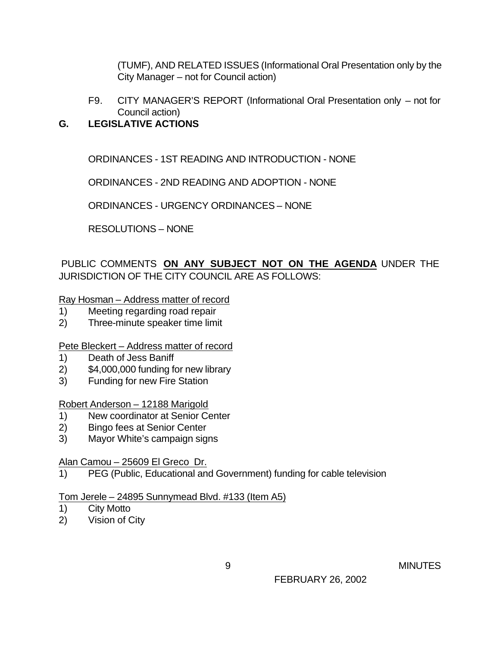(TUMF), AND RELATED ISSUES (Informational Oral Presentation only by the City Manager – not for Council action)

F9. CITY MANAGER'S REPORT (Informational Oral Presentation only – not for Council action)

## **G. LEGISLATIVE ACTIONS**

ORDINANCES - 1ST READING AND INTRODUCTION - NONE

ORDINANCES - 2ND READING AND ADOPTION - NONE

ORDINANCES - URGENCY ORDINANCES – NONE

RESOLUTIONS – NONE

PUBLIC COMMENTS **ON ANY SUBJECT NOT ON THE AGENDA** UNDER THE JURISDICTION OF THE CITY COUNCIL ARE AS FOLLOWS:

Ray Hosman – Address matter of record

- 1) Meeting regarding road repair
- 2) Three-minute speaker time limit

Pete Bleckert – Address matter of record

- 1) Death of Jess Baniff
- 2) \$4,000,000 funding for new library
- 3) Funding for new Fire Station

Robert Anderson – 12188 Marigold

- 1) New coordinator at Senior Center
- 2) Bingo fees at Senior Center
- 3) Mayor White's campaign signs

Alan Camou – 25609 El Greco Dr.

1) PEG (Public, Educational and Government) funding for cable television

Tom Jerele – 24895 Sunnymead Blvd. #133 (Item A5)

- 1) City Motto
- 2) Vision of City

9 MINUTES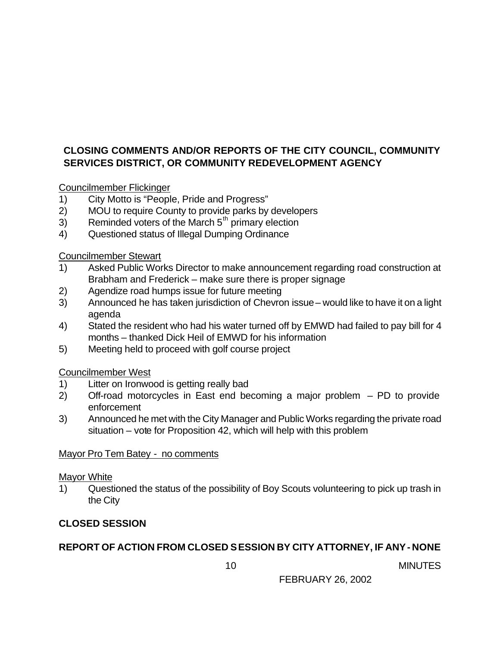# **CLOSING COMMENTS AND/OR REPORTS OF THE CITY COUNCIL, COMMUNITY SERVICES DISTRICT, OR COMMUNITY REDEVELOPMENT AGENCY**

Councilmember Flickinger

- 1) City Motto is "People, Pride and Progress"
- 2) MOU to require County to provide parks by developers
- $3)$  Reminded voters of the March  $5<sup>th</sup>$  primary election
- 4) Questioned status of Illegal Dumping Ordinance

Councilmember Stewart

- 1) Asked Public Works Director to make announcement regarding road construction at Brabham and Frederick – make sure there is proper signage
- 2) Agendize road humps issue for future meeting
- 3) Announced he has taken jurisdiction of Chevron issue would like to have it on a light agenda
- 4) Stated the resident who had his water turned off by EMWD had failed to pay bill for 4 months – thanked Dick Heil of EMWD for his information
- 5) Meeting held to proceed with golf course project

Councilmember West

- 1) Litter on Ironwood is getting really bad
- 2) Off-road motorcycles in East end becoming a major problem PD to provide enforcement
- 3) Announced he met with the City Manager and Public Works regarding the private road situation – vote for Proposition 42, which will help with this problem

Mayor Pro Tem Batey - no comments

## Mayor White

1) Questioned the status of the possibility of Boy Scouts volunteering to pick up trash in the City

# **CLOSED SESSION**

# **REPORT OF ACTION FROM CLOSED SESSION BY CITY ATTORNEY, IF ANY - NONE**

10 MINUTES